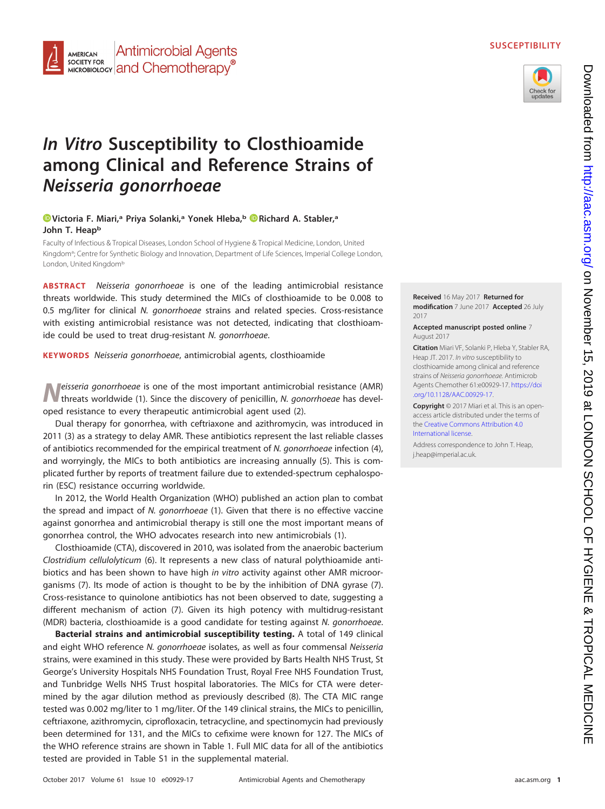



# **In Vitro Susceptibility to Closthioamide among Clinical and Reference Strains of Neisseria gonorrhoeae**

## **[Victoria F. Miari,](http://orcid.org/0000-0002-5995-9422)a Priya Solanki,a Yonek Hleba,b [Richard A. Stabler,](http://orcid.org/0000-0002-2402-6630)a** John T. Heap<sup>b</sup>

Faculty of Infectious & Tropical Diseases, London School of Hygiene & Tropical Medicine, London, United Kingdom<sup>a</sup>; Centre for Synthetic Biology and Innovation, Department of Life Sciences, Imperial College London, London, United Kingdomb

**ABSTRACT** Neisseria gonorrhoeae is one of the leading antimicrobial resistance threats worldwide. This study determined the MICs of closthioamide to be 0.008 to 0.5 mg/liter for clinical N. gonorrhoeae strains and related species. Cross-resistance with existing antimicrobial resistance was not detected, indicating that closthioamide could be used to treat drug-resistant N. gonorrhoeae.

**KEYWORDS** Neisseria gonorrhoeae, antimicrobial agents, closthioamide

*N*eisseria gonorrhoeae is one of the most important antimicrobial resistance (AMR) threats worldwide [\(1\)](#page-3-0). Since the discovery of penicillin, N. gonorrhoeae has developed resistance to every therapeutic antimicrobial agent used [\(2\)](#page-3-1).

Dual therapy for gonorrhea, with ceftriaxone and azithromycin, was introduced in 2011 [\(3\)](#page-3-2) as a strategy to delay AMR. These antibiotics represent the last reliable classes of antibiotics recommended for the empirical treatment of N. gonorrhoeae infection [\(4\)](#page-3-3), and worryingly, the MICs to both antibiotics are increasing annually [\(5\)](#page-3-4). This is complicated further by reports of treatment failure due to extended-spectrum cephalosporin (ESC) resistance occurring worldwide.

In 2012, the World Health Organization (WHO) published an action plan to combat the spread and impact of N. gonorrhoeae [\(1\)](#page-3-0). Given that there is no effective vaccine against gonorrhea and antimicrobial therapy is still one the most important means of gonorrhea control, the WHO advocates research into new antimicrobials [\(1\)](#page-3-0).

Closthioamide (CTA), discovered in 2010, was isolated from the anaerobic bacterium Clostridium cellulolyticum [\(6\)](#page-3-5). It represents a new class of natural polythioamide antibiotics and has been shown to have high in vitro activity against other AMR microorganisms [\(7\)](#page-3-6). Its mode of action is thought to be by the inhibition of DNA gyrase [\(7\)](#page-3-6). Cross-resistance to quinolone antibiotics has not been observed to date, suggesting a different mechanism of action [\(7\)](#page-3-6). Given its high potency with multidrug-resistant (MDR) bacteria, closthioamide is a good candidate for testing against N. gonorrhoeae.

**Bacterial strains and antimicrobial susceptibility testing.** A total of 149 clinical and eight WHO reference N. gonorrhoeae isolates, as well as four commensal Neisseria strains, were examined in this study. These were provided by Barts Health NHS Trust, St George's University Hospitals NHS Foundation Trust, Royal Free NHS Foundation Trust, and Tunbridge Wells NHS Trust hospital laboratories. The MICs for CTA were determined by the agar dilution method as previously described [\(8\)](#page-3-7). The CTA MIC range tested was 0.002 mg/liter to 1 mg/liter. Of the 149 clinical strains, the MICs to penicillin, ceftriaxone, azithromycin, ciprofloxacin, tetracycline, and spectinomycin had previously been determined for 131, and the MICs to cefixime were known for 127. The MICs of the WHO reference strains are shown in [Table 1.](#page-1-0) Full MIC data for all of the antibiotics tested are provided in Table S1 in the supplemental material.

**Received** 16 May 2017 **Returned for modification** 7 June 2017 **Accepted** 26 July 2017

**Accepted manuscript posted online** 7 August 2017

**Citation** Miari VF, Solanki P, Hleba Y, Stabler RA, Heap JT. 2017. In vitro susceptibility to closthioamide among clinical and reference strains of Neisseria gonorrhoeae. Antimicrob Agents Chemother 61:e00929-17. [https://doi](https://doi.org/10.1128/AAC.00929-17) [.org/10.1128/AAC.00929-17.](https://doi.org/10.1128/AAC.00929-17)

**Copyright** © 2017 Miari et al. This is an openaccess article distributed under the terms of the [Creative Commons Attribution 4.0](https://creativecommons.org/licenses/by/4.0/) [International](https://creativecommons.org/licenses/by/4.0/) license.

Address correspondence to John T. Heap, [j.heap@imperial.ac.uk.](mailto:j.heap@imperial.ac.uk)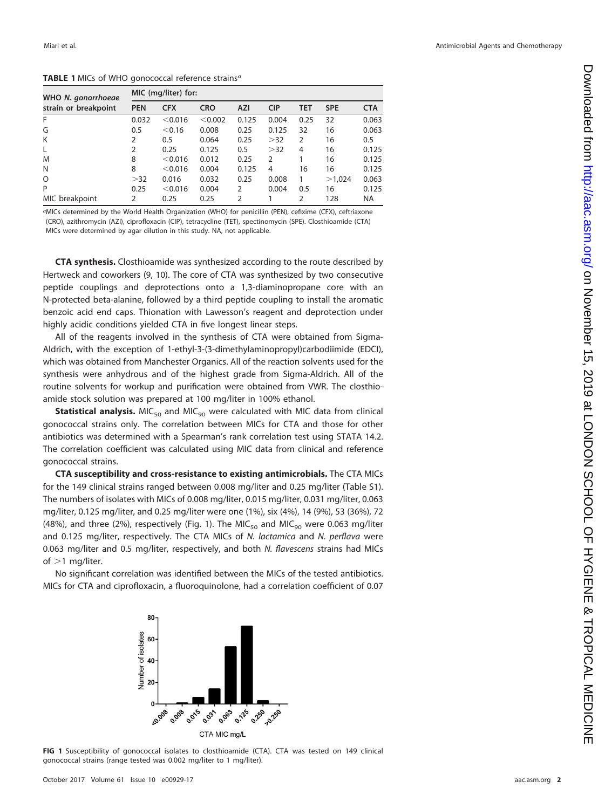<span id="page-1-0"></span>TABLE 1 MICs of WHO gonococcal reference strains<sup>a</sup>

| WHO N. gonorrhoeae<br>strain or breakpoint | MIC (mg/liter) for: |            |            |                |            |            |            |            |  |
|--------------------------------------------|---------------------|------------|------------|----------------|------------|------------|------------|------------|--|
|                                            | <b>PEN</b>          | <b>CFX</b> | <b>CRO</b> | <b>AZI</b>     | <b>CIP</b> | <b>TET</b> | <b>SPE</b> | <b>CTA</b> |  |
| F                                          | 0.032               | < 0.016    | < 0.002    | 0.125          | 0.004      | 0.25       | 32         | 0.063      |  |
| G                                          | 0.5                 | < 0.16     | 0.008      | 0.25           | 0.125      | 32         | 16         | 0.063      |  |
| K                                          | 2                   | 0.5        | 0.064      | 0.25           | >32        | 2          | 16         | 0.5        |  |
| L                                          | 2                   | 0.25       | 0.125      | 0.5            | >32        | 4          | 16         | 0.125      |  |
| M                                          | 8                   | < 0.016    | 0.012      | 0.25           | 2          |            | 16         | 0.125      |  |
| N                                          | 8                   | < 0.016    | 0.004      | 0.125          | 4          | 16         | 16         | 0.125      |  |
| O                                          | >32                 | 0.016      | 0.032      | 0.25           | 0.008      |            | >1,024     | 0.063      |  |
| P                                          | 0.25                | < 0.016    | 0.004      | $\overline{2}$ | 0.004      | 0.5        | 16         | 0.125      |  |
| MIC breakpoint                             | 2                   | 0.25       | 0.25       | 2              |            | 2          | 128        | <b>NA</b>  |  |

aMICs determined by the World Health Organization (WHO) for penicillin (PEN), cefixime (CFX), ceftriaxone (CRO), azithromycin (AZI), ciprofloxacin (CIP), tetracycline (TET), spectinomycin (SPE). Closthioamide (CTA) MICs were determined by agar dilution in this study. NA, not applicable.

**CTA synthesis.** Closthioamide was synthesized according to the route described by Hertweck and coworkers [\(9,](#page-3-8) [10\)](#page-3-9). The core of CTA was synthesized by two consecutive peptide couplings and deprotections onto a 1,3-diaminopropane core with an N-protected beta-alanine, followed by a third peptide coupling to install the aromatic benzoic acid end caps. Thionation with Lawesson's reagent and deprotection under highly acidic conditions yielded CTA in five longest linear steps.

All of the reagents involved in the synthesis of CTA were obtained from Sigma-Aldrich, with the exception of 1-ethyl-3-(3-dimethylaminopropyl)carbodiimide (EDCI), which was obtained from Manchester Organics. All of the reaction solvents used for the synthesis were anhydrous and of the highest grade from Sigma-Aldrich. All of the routine solvents for workup and purification were obtained from VWR. The closthioamide stock solution was prepared at 100 mg/liter in 100% ethanol.

**Statistical analysis.** MIC<sub>50</sub> and MIC<sub>90</sub> were calculated with MIC data from clinical gonococcal strains only. The correlation between MICs for CTA and those for other antibiotics was determined with a Spearman's rank correlation test using STATA 14.2. The correlation coefficient was calculated using MIC data from clinical and reference gonococcal strains.

**CTA susceptibility and cross-resistance to existing antimicrobials.** The CTA MICs for the 149 clinical strains ranged between 0.008 mg/liter and 0.25 mg/liter (Table S1). The numbers of isolates with MICs of 0.008 mg/liter, 0.015 mg/liter, 0.031 mg/liter, 0.063 mg/liter, 0.125 mg/liter, and 0.25 mg/liter were one (1%), six (4%), 14 (9%), 53 (36%), 72 (48%), and three (2%), respectively [\(Fig. 1\)](#page-1-1). The MIC<sub>50</sub> and MIC<sub>90</sub> were 0.063 mg/liter and 0.125 mg/liter, respectively. The CTA MICs of N. lactamica and N. perflava were 0.063 mg/liter and 0.5 mg/liter, respectively, and both N. flavescens strains had MICs of  $>$ 1 mg/liter.

No significant correlation was identified between the MICs of the tested antibiotics. MICs for CTA and ciprofloxacin, a fluoroquinolone, had a correlation coefficient of 0.07



<span id="page-1-1"></span>**FIG 1** Susceptibility of gonococcal isolates to closthioamide (CTA). CTA was tested on 149 clinical gonococcal strains (range tested was 0.002 mg/liter to 1 mg/liter).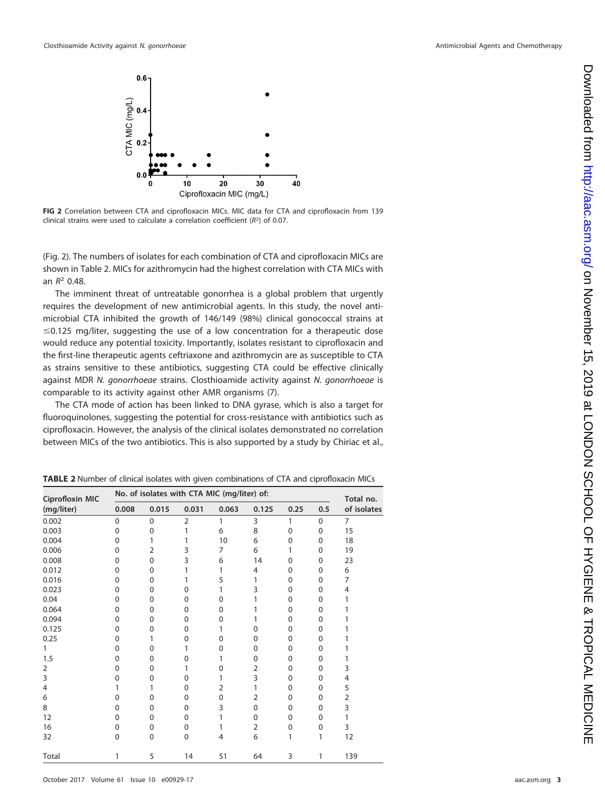

<span id="page-2-0"></span>**FIG 2** Correlation between CTA and ciprofloxacin MICs. MIC data for CTA and ciprofloxacin from 139 clinical strains were used to calculate a correlation coefficient  $(R<sup>2</sup>)$  of 0.07.

[\(Fig. 2\)](#page-2-0). The numbers of isolates for each combination of CTA and ciprofloxacin MICs are shown in [Table 2.](#page-2-1) MICs for azithromycin had the highest correlation with CTA MICs with an  $R^2$  0.48.

The imminent threat of untreatable gonorrhea is a global problem that urgently requires the development of new antimicrobial agents. In this study, the novel antimicrobial CTA inhibited the growth of 146/149 (98%) clinical gonococcal strains at  $\leq$  0.125 mg/liter, suggesting the use of a low concentration for a therapeutic dose would reduce any potential toxicity. Importantly, isolates resistant to ciprofloxacin and the first-line therapeutic agents ceftriaxone and azithromycin are as susceptible to CTA as strains sensitive to these antibiotics, suggesting CTA could be effective clinically against MDR N. gonorrhoeae strains. Closthioamide activity against N. gonorrhoeae is comparable to its activity against other AMR organisms [\(7\)](#page-3-6).

The CTA mode of action has been linked to DNA gyrase, which is also a target for fluoroquinolones, suggesting the potential for cross-resistance with antibiotics such as ciprofloxacin. However, the analysis of the clinical isolates demonstrated no correlation between MICs of the two antibiotics. This is also supported by a study by Chiriac et al.,

| <b>Ciprofloxin MIC</b><br>(mg/liter) | No. of isolates with CTA MIC (mg/liter) of: | Total no.   |                |          |                |              |              |                |
|--------------------------------------|---------------------------------------------|-------------|----------------|----------|----------------|--------------|--------------|----------------|
|                                      | 0.008                                       | 0.015       | 0.031          | 0.063    | 0.125          | 0.25         | 0.5          | of isolates    |
| 0.002                                | $\mathbf 0$                                 | 0           | $\overline{2}$ | 1        | 3              | 1            | $\mathbf{0}$ | $\overline{7}$ |
| 0.003                                | $\Omega$                                    | 0           | 1              | 6        | 8              | $\mathbf{0}$ | $\Omega$     | 15             |
| 0.004                                | $\Omega$                                    | 1           | 1              | 10       | 6              | $\Omega$     | $\Omega$     | 18             |
| 0.006                                | ი                                           | 2           | 3              | 7        | 6              | 1            | 0            | 19             |
| 0.008                                | Ω                                           | 0           | 3              | 6        | 14             | 0            | 0            | 23             |
| 0.012                                | 0                                           | 0           | 1              | 1        | 4              | 0            | 0            | 6              |
| 0.016                                | $\Omega$                                    | 0           |                | 5        | 1              | 0            | 0            | 7              |
| 0.023                                | ი                                           | 0           | $\Omega$       | 1        | 3              | $\Omega$     | 0            | 4              |
| 0.04                                 | ი                                           | 0           | 0              | 0        | 1              | $\Omega$     | 0            | 1              |
| 0.064                                | ი                                           | 0           | $\Omega$       | $\Omega$ | 1              | 0            | $\Omega$     | 1              |
| 0.094                                | ი                                           | 0           | $\Omega$       | 0        | 1              | $\Omega$     | 0            |                |
| 0.125                                | $\Omega$                                    | 0           | 0              | 1        | 0              | $\Omega$     | 0            |                |
| 0.25                                 | ი                                           | 1           | 0              | 0        | 0              | 0            | $\Omega$     | 1              |
| 1                                    | ი                                           | 0           | 1              | 0        | $\Omega$       | $\Omega$     | 0            |                |
| 1.5                                  | $\Omega$                                    | 0           | 0              | 1        | $\Omega$       | 0            | $\Omega$     |                |
| 2                                    | ი                                           | 0           | 1              | 0        | 2              | 0            | $\Omega$     | 3              |
| 3                                    | ი                                           | 0           | $\Omega$       | 1        | 3              | $\Omega$     | $\Omega$     | $\overline{4}$ |
| 4                                    |                                             |             | $\Omega$       | 2        | 1              | 0            | $\Omega$     | 5              |
| 6                                    | ი                                           | 0           | 0              | 0        | $\overline{2}$ | 0            | 0            | $\overline{2}$ |
| 8                                    | ი                                           | 0           | $\mathbf 0$    | 3        | 0              | $\Omega$     | $\Omega$     | 3              |
| 12                                   | 0                                           | 0           | $\Omega$       | 1        | $\Omega$       | 0            | $\Omega$     | 1              |
| 16                                   | 0                                           | 0           | $\mathbf 0$    |          | $\overline{2}$ | 0            | 0            | 3              |
| 32                                   | $\Omega$                                    | $\mathbf 0$ | $\mathbf 0$    | 4        | 6              | 1            | 1            | 12             |
| Total                                | 1                                           | 5           | 14             | 51       | 64             | 3            | 1            | 139            |

<span id="page-2-1"></span>**TABLE 2** Number of clinical isolates with given combinations of CTA and ciprofloxacin MICs